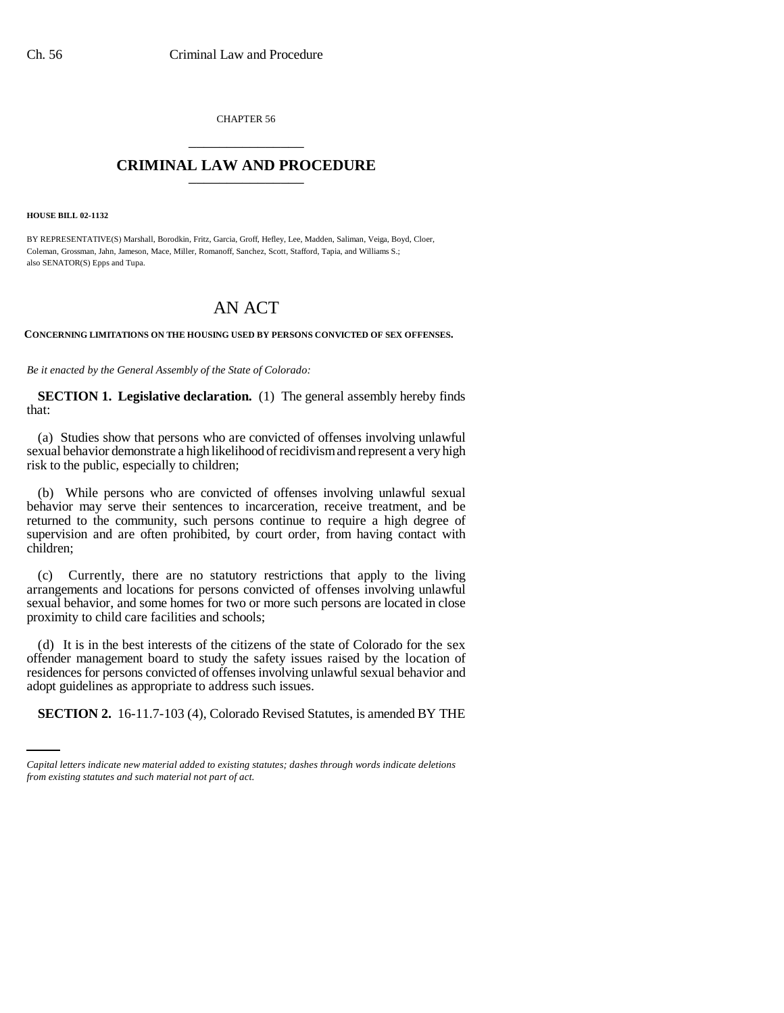CHAPTER 56 \_\_\_\_\_\_\_\_\_\_\_\_\_\_\_

## **CRIMINAL LAW AND PROCEDURE** \_\_\_\_\_\_\_\_\_\_\_\_\_\_\_

**HOUSE BILL 02-1132**

BY REPRESENTATIVE(S) Marshall, Borodkin, Fritz, Garcia, Groff, Hefley, Lee, Madden, Saliman, Veiga, Boyd, Cloer, Coleman, Grossman, Jahn, Jameson, Mace, Miller, Romanoff, Sanchez, Scott, Stafford, Tapia, and Williams S.; also SENATOR(S) Epps and Tupa.

## AN ACT

**CONCERNING LIMITATIONS ON THE HOUSING USED BY PERSONS CONVICTED OF SEX OFFENSES.**

*Be it enacted by the General Assembly of the State of Colorado:*

**SECTION 1. Legislative declaration.** (1) The general assembly hereby finds that:

(a) Studies show that persons who are convicted of offenses involving unlawful sexual behavior demonstrate a high likelihood of recidivism and represent a very high risk to the public, especially to children;

(b) While persons who are convicted of offenses involving unlawful sexual behavior may serve their sentences to incarceration, receive treatment, and be returned to the community, such persons continue to require a high degree of supervision and are often prohibited, by court order, from having contact with children;

(c) Currently, there are no statutory restrictions that apply to the living arrangements and locations for persons convicted of offenses involving unlawful sexual behavior, and some homes for two or more such persons are located in close proximity to child care facilities and schools;

adopt guidelines as appropriate to address such issues. (d) It is in the best interests of the citizens of the state of Colorado for the sex offender management board to study the safety issues raised by the location of residences for persons convicted of offenses involving unlawful sexual behavior and

**SECTION 2.** 16-11.7-103 (4), Colorado Revised Statutes, is amended BY THE

*Capital letters indicate new material added to existing statutes; dashes through words indicate deletions from existing statutes and such material not part of act.*